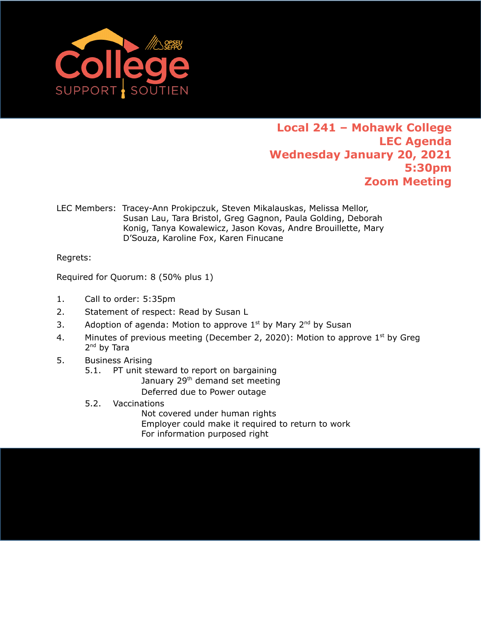

## **Local 241 – Mohawk College LEC Agenda Wednesday January 20, 2021 5:30pm Zoom Meeting**

LEC Members: Tracey-Ann Prokipczuk, Steven Mikalauskas, Melissa Mellor, Susan Lau, Tara Bristol, Greg Gagnon, Paula Golding, Deborah Konig, Tanya Kowalewicz, Jason Kovas, Andre Brouillette, Mary D'Souza, Karoline Fox, Karen Finucane

Regrets:

Required for Quorum: 8 (50% plus 1)

- 1. Call to order: 5:35pm
- 2. Statement of respect: Read by Susan L
- 3. Adoption of agenda: Motion to approve  $1<sup>st</sup>$  by Mary  $2<sup>nd</sup>$  by Susan
- 4. Minutes of previous meeting (December 2, 2020): Motion to approve  $1<sup>st</sup>$  by Greg 2<sup>nd</sup> by Tara
- 5. Business Arising
	- 5.1. PT unit steward to report on bargaining January 29<sup>th</sup> demand set meeting Deferred due to Power outage
	- 5.2. Vaccinations Not covered under human rights Employer could make it required to return to work For information purposed right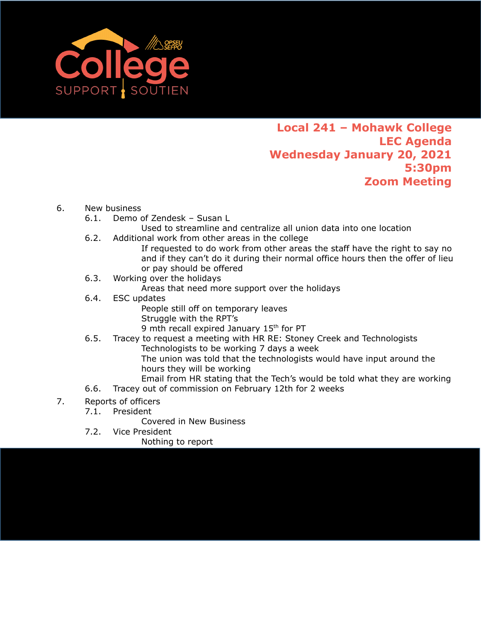

## **Local 241 – Mohawk College LEC Agenda Wednesday January 20, 2021 5:30pm Zoom Meeting**

## 6. New business

- 6.1. Demo of Zendesk Susan L
	- Used to streamline and centralize all union data into one location
- 6.2. Additional work from other areas in the college
	- If requested to do work from other areas the staff have the right to say no and if they can't do it during their normal office hours then the offer of lieu or pay should be offered
- 6.3. Working over the holidays

Areas that need more support over the holidays

- 6.4. ESC updates
	- People still off on temporary leaves Struggle with the RPT's 9 mth recall expired January 15<sup>th</sup> for PT
- 6.5. Tracey to request a meeting with HR RE: Stoney Creek and Technologists Technologists to be working 7 days a week The union was told that the technologists would have input around the
	- hours they will be working Email from HR stating that the Tech's would be told what they are working
- 6.6. Tracey out of commission on February 12th for 2 weeks
- 7. Reports of officers
	- 7.1. President

Covered in New Business

- 7.2. Vice President
	- Nothing to report